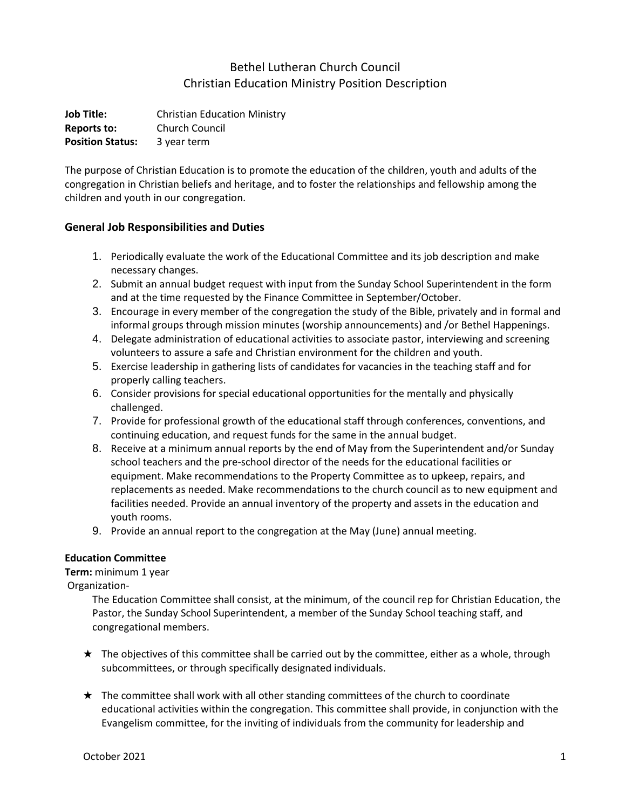## Bethel Lutheran Church Council Christian Education Ministry Position Description

**Job Title:** Christian Education Ministry **Reports to:** Church Council **Position Status:** 3 year term

The purpose of Christian Education is to promote the education of the children, youth and adults of the congregation in Christian beliefs and heritage, and to foster the relationships and fellowship among the children and youth in our congregation.

## **General Job Responsibilities and Duties**

- 1. Periodically evaluate the work of the Educational Committee and its job description and make necessary changes.
- 2. Submit an annual budget request with input from the Sunday School Superintendent in the form and at the time requested by the Finance Committee in September/October.
- 3. Encourage in every member of the congregation the study of the Bible, privately and in formal and informal groups through mission minutes (worship announcements) and /or Bethel Happenings.
- 4. Delegate administration of educational activities to associate pastor, interviewing and screening volunteers to assure a safe and Christian environment for the children and youth.
- 5. Exercise leadership in gathering lists of candidates for vacancies in the teaching staff and for properly calling teachers.
- 6. Consider provisions for special educational opportunities for the mentally and physically challenged.
- 7. Provide for professional growth of the educational staff through conferences, conventions, and continuing education, and request funds for the same in the annual budget.
- 8. Receive at a minimum annual reports by the end of May from the Superintendent and/or Sunday school teachers and the pre-school director of the needs for the educational facilities or equipment. Make recommendations to the Property Committee as to upkeep, repairs, and replacements as needed. Make recommendations to the church council as to new equipment and facilities needed. Provide an annual inventory of the property and assets in the education and youth rooms.
- 9. Provide an annual report to the congregation at the May (June) annual meeting.

## **Education Committee**

**Term:** minimum 1 year

Organization-

The Education Committee shall consist, at the minimum, of the council rep for Christian Education, the Pastor, the Sunday School Superintendent, a member of the Sunday School teaching staff, and congregational members.

- $\star$  The objectives of this committee shall be carried out by the committee, either as a whole, through subcommittees, or through specifically designated individuals.
- ★ The committee shall work with all other standing committees of the church to coordinate educational activities within the congregation. This committee shall provide, in conjunction with the Evangelism committee, for the inviting of individuals from the community for leadership and